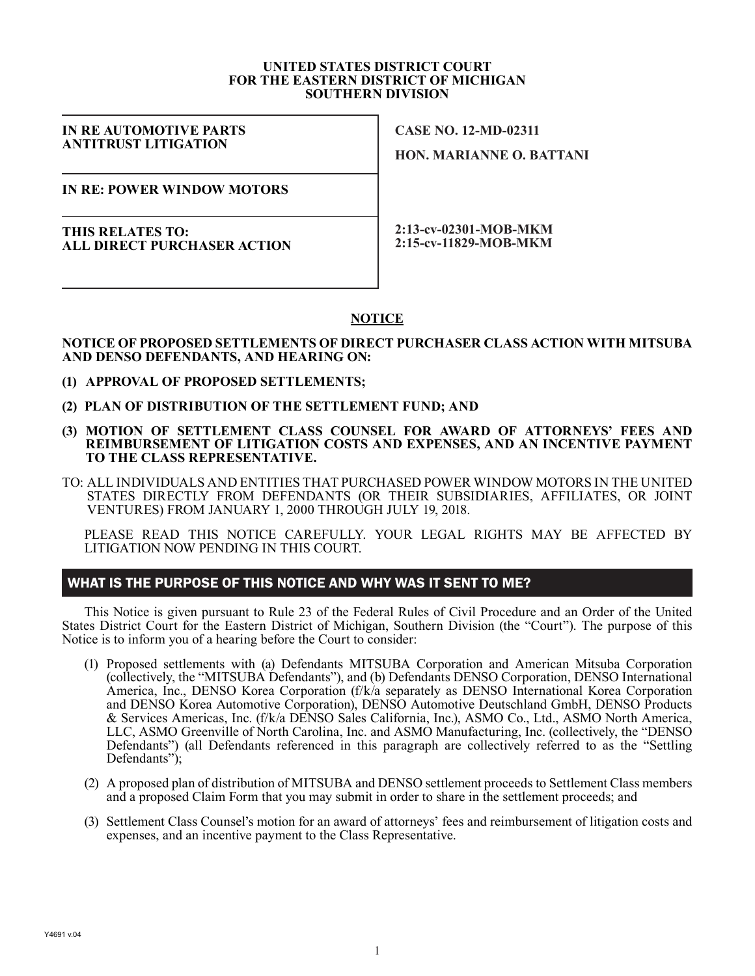#### **UNITED STATES DISTRICT COURT FOR THE EASTERN DISTRICT OF MICHIGAN SOUTHERN DIVISION**

#### **IN RE AUTOMOTIVE PARTS ANTITRUST LITIGATION**

**CASE NO. 12-MD-02311**

**HON. MARIANNE O. BATTANI**

**IN RE: POWER WINDOW MOTORS**

**THIS RELATES TO: ALL DIRECT PURCHASER ACTION**

**2:13-cv-02301-MOB-MKM 2:15-cv-11829-MOB-MKM**

# **NOTICE**

### **NOTICE OF PROPOSED SETTLEMENTS OF DIRECT PURCHASER CLASS ACTION WITH MITSUBA AND DENSO DEFENDANTS, AND HEARING ON:**

- **(1) APPROVAL OF PROPOSED SETTLEMENTS;**
- **(2) PLAN OF DISTRIBUTION OF THE SETTLEMENT FUND; AND**
- **(3) MOTION OF SETTLEMENT CLASS COUNSEL FOR AWARD OF ATTORNEYS' FEES AND REIMBURSEMENT OF LITIGATION COSTS AND EXPENSES, AND AN INCENTIVE PAYMENT TO THE CLASS REPRESENTATIVE.**
- TO: ALL INDIVIDUALS AND ENTITIES THAT PURCHASED POWER WINDOW MOTORS IN THE UNITED STATES DIRECTLY FROM DEFENDANTS (OR THEIR SUBSIDIARIES, AFFILIATES, OR JOINT VENTURES) FROM JANUARY 1, 2000 THROUGH JULY 19, 2018.

PLEASE READ THIS NOTICE CAREFULLY. YOUR LEGAL RIGHTS MAY BE AFFECTED BY LITIGATION NOW PENDING IN THIS COURT.

# WHAT IS THE PURPOSE OF THIS NOTICE AND WHY WAS IT SENT TO ME?

This Notice is given pursuant to Rule 23 of the Federal Rules of Civil Procedure and an Order of the United States District Court for the Eastern District of Michigan, Southern Division (the "Court"). The purpose of this Notice is to inform you of a hearing before the Court to consider:

- (1) Proposed settlements with (a) Defendants MITSUBA Corporation and American Mitsuba Corporation (collectively, the "MITSUBA Defendants"), and (b) Defendants DENSO Corporation, DENSO International America, Inc., DENSO Korea Corporation (f/k/a separately as DENSO International Korea Corporation and DENSO Korea Automotive Corporation), DENSO Automotive Deutschland GmbH, DENSO Products & Services Americas, Inc. (f/k/a DENSO Sales California, Inc.), ASMO Co., Ltd., ASMO North America, LLC, ASMO Greenville of North Carolina, Inc. and ASMO Manufacturing, Inc. (collectively, the "DENSO Defendants") (all Defendants referenced in this paragraph are collectively referred to as the "Settling Defendants");
- (2) A proposed plan of distribution of MITSUBA and DENSO settlement proceeds to Settlement Class members and a proposed Claim Form that you may submit in order to share in the settlement proceeds; and
- (3) Settlement Class Counsel's motion for an award of attorneys' fees and reimbursement of litigation costs and expenses, and an incentive payment to the Class Representative.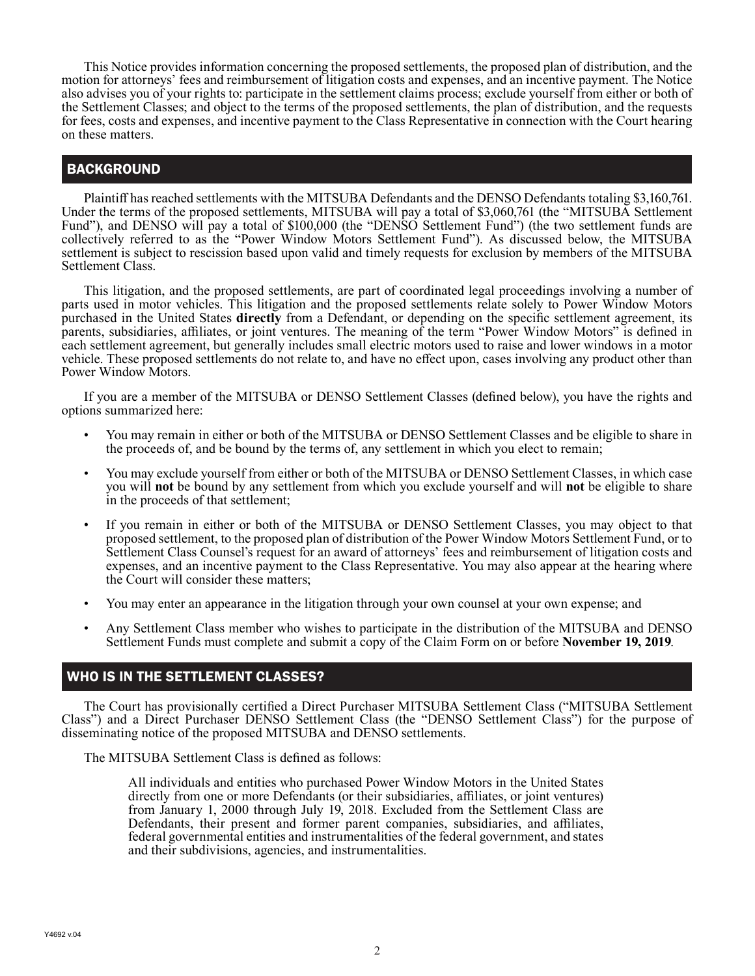This Notice provides information concerning the proposed settlements, the proposed plan of distribution, and the motion for attorneys' fees and reimbursement of litigation costs and expenses, and an incentive payment. The Notice also advises you of your rights to: participate in the settlement claims process; exclude yourself from either or both of the Settlement Classes; and object to the terms of the proposed settlements, the plan of distribution, and the requests for fees, costs and expenses, and incentive payment to the Class Representative in connection with the Court hearing on these matters.

# **BACKGROUND**

Plaintiff has reached settlements with the MITSUBA Defendants and the DENSO Defendants totaling \$3,160,761. Under the terms of the proposed settlements, MITSUBA will pay a total of \$3,060,761 (the "MITSUBA Settlement Fund"), and DENSO will pay a total of \$100,000 (the "DENSO Settlement Fund") (the two settlement funds are collectively referred to as the "Power Window Motors Settlement Fund"). As discussed below, the MITSUBA settlement is subject to rescission based upon valid and timely requests for exclusion by members of the MITSUBA Settlement Class.

This litigation, and the proposed settlements, are part of coordinated legal proceedings involving a number of parts used in motor vehicles. This litigation and the proposed settlements relate solely to Power Window Motors purchased in the United States **directly** from a Defendant, or depending on the specific settlement agreement, its parents, subsidiaries, affiliates, or joint ventures. The meaning of the term "Power Window Motors" is defined in each settlement agreement, but generally includes small electric motors used to raise and lower windows in a motor vehicle. These proposed settlements do not relate to, and have no effect upon, cases involving any product other than Power Window Motors.

If you are a member of the MITSUBA or DENSO Settlement Classes (defined below), you have the rights and options summarized here:

- You may remain in either or both of the MITSUBA or DENSO Settlement Classes and be eligible to share in the proceeds of, and be bound by the terms of, any settlement in which you elect to remain;
- You may exclude yourself from either or both of the MITSUBA or DENSO Settlement Classes, in which case you will **not** be bound by any settlement from which you exclude yourself and will **not** be eligible to share in the proceeds of that settlement;
- If you remain in either or both of the MITSUBA or DENSO Settlement Classes, you may object to that proposed settlement, to the proposed plan of distribution of the Power Window Motors Settlement Fund, or to Settlement Class Counsel's request for an award of attorneys' fees and reimbursement of litigation costs and expenses, and an incentive payment to the Class Representative. You may also appear at the hearing where the Court will consider these matters;
- You may enter an appearance in the litigation through your own counsel at your own expense; and
- Any Settlement Class member who wishes to participate in the distribution of the MITSUBA and DENSO Settlement Funds must complete and submit a copy of the Claim Form on or before **November 19, 2019**.

### WHO IS IN THE SETTLEMENT CLASSES?

The Court has provisionally certified a Direct Purchaser MITSUBA Settlement Class ("MITSUBA Settlement Class") and a Direct Purchaser DENSO Settlement Class (the "DENSO Settlement Class") for the purpose of disseminating notice of the proposed MITSUBA and DENSO settlements.

The MITSUBA Settlement Class is defined as follows:

All individuals and entities who purchased Power Window Motors in the United States directly from one or more Defendants (or their subsidiaries, affiliates, or joint ventures) from January 1, 2000 through July 19, 2018. Excluded from the Settlement Class are Defendants, their present and former parent companies, subsidiaries, and affiliates, federal governmental entities and instrumentalities of the federal government, and states and their subdivisions, agencies, and instrumentalities.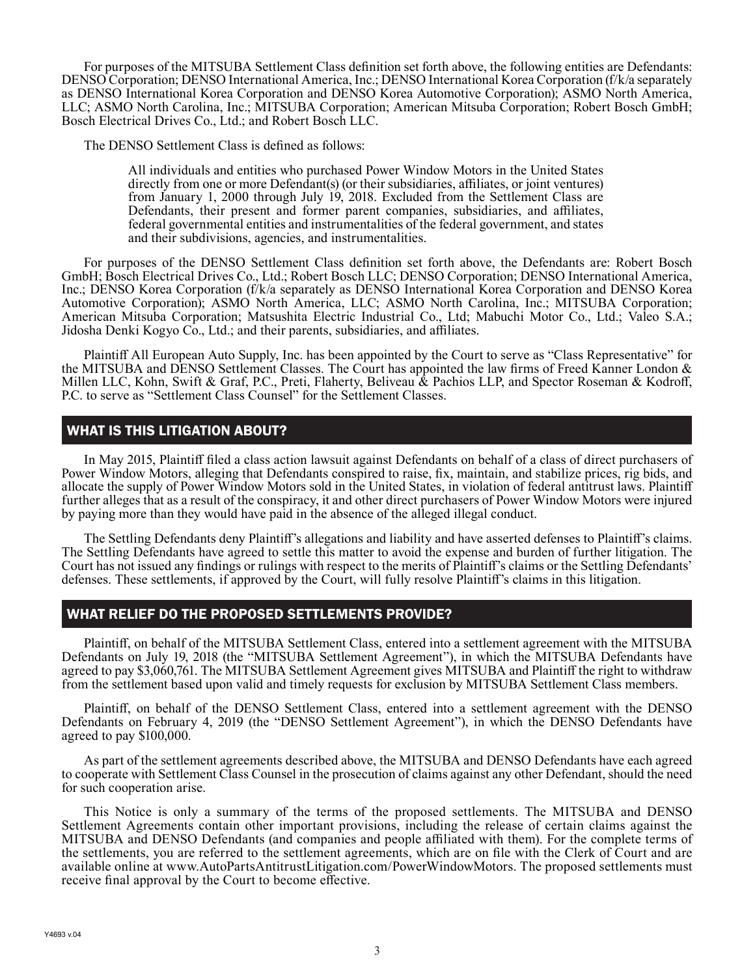For purposes of the MITSUBA Settlement Class definition set forth above, the following entities are Defendants: DENSO Corporation; DENSO International America, Inc.; DENSO International Korea Corporation (f/k/a separately as DENSO International Korea Corporation and DENSO Korea Automotive Corporation); ASMO North America, LLC; ASMO North Carolina, Inc.; MITSUBA Corporation; American Mitsuba Corporation; Robert Bosch GmbH; Bosch Electrical Drives Co., Ltd.; and Robert Bosch LLC.

The DENSO Settlement Class is defined as follows:

All individuals and entities who purchased Power Window Motors in the United States directly from one or more Defendant(s) (or their subsidiaries, affiliates, or joint ventures) from January 1, 2000 through July 19, 2018. Excluded from the Settlement Class are Defendants, their present and former parent companies, subsidiaries, and affiliates, federal governmental entities and instrumentalities of the federal government, and states and their subdivisions, agencies, and instrumentalities.

For purposes of the DENSO Settlement Class definition set forth above, the Defendants are: Robert Bosch GmbH; Bosch Electrical Drives Co., Ltd.; Robert Bosch LLC; DENSO Corporation; DENSO International America, Inc.; DENSO Korea Corporation (f/k/a separately as DENSO International Korea Corporation and DENSO Korea Automotive Corporation); ASMO North America, LLC; ASMO North Carolina, Inc.; MITSUBA Corporation; American Mitsuba Corporation; Matsushita Electric Industrial Co., Ltd; Mabuchi Motor Co., Ltd.; Valeo S.A.; Jidosha Denki Kogyo Co., Ltd.; and their parents, subsidiaries, and affiliates.

Plaintiff All European Auto Supply, Inc. has been appointed by the Court to serve as "Class Representative" for the MITSUBA and DENSO Settlement Classes. The Court has appointed the law firms of Freed Kanner London & Millen LLC, Kohn, Swift & Graf, P.C., Preti, Flaherty, Beliveau & Pachios LLP, and Spector Roseman & Kodroff, P.C. to serve as "Settlement Class Counsel" for the Settlement Classes.

# WHAT IS THIS LITIGATION ABOUT?

In May 2015, Plaintiff filed a class action lawsuit against Defendants on behalf of a class of direct purchasers of Power Window Motors, alleging that Defendants conspired to raise, fix, maintain, and stabilize prices, rig bids, and allocate the supply of Power Window Motors sold in the United States, in violation of federal antitrust laws. Plaintiff further alleges that as a result of the conspiracy, it and other direct purchasers of Power Window Motors were injured by paying more than they would have paid in the absence of the alleged illegal conduct.

The Settling Defendants deny Plaintiff's allegations and liability and have asserted defenses to Plaintiff's claims. The Settling Defendants have agreed to settle this matter to avoid the expense and burden of further litigation. The Court has not issued any findings or rulings with respect to the merits of Plaintiff's claims or the Settling Defendants' defenses. These settlements, if approved by the Court, will fully resolve Plaintiff's claims in this litigation.

# WHAT RELIEF DO THE PROPOSED SETTLEMENTS PROVIDE?

Plaintiff, on behalf of the MITSUBA Settlement Class, entered into a settlement agreement with the MITSUBA Defendants on July 19, 2018 (the "MITSUBA Settlement Agreement"), in which the MITSUBA Defendants have agreed to pay \$3,060,761. The MITSUBA Settlement Agreement gives MITSUBA and Plaintiff the right to withdraw from the settlement based upon valid and timely requests for exclusion by MITSUBA Settlement Class members.

Plaintiff, on behalf of the DENSO Settlement Class, entered into a settlement agreement with the DENSO Defendants on February 4, 2019 (the "DENSO Settlement Agreement"), in which the DENSO Defendants have agreed to pay \$100,000.

As part of the settlement agreements described above, the MITSUBA and DENSO Defendants have each agreed to cooperate with Settlement Class Counsel in the prosecution of claims against any other Defendant, should the need for such cooperation arise.

This Notice is only a summary of the terms of the proposed settlements. The MITSUBA and DENSO Settlement Agreements contain other important provisions, including the release of certain claims against the MITSUBA and DENSO Defendants (and companies and people affiliated with them). For the complete terms of the settlements, you are referred to the settlement agreements, which are on file with the Clerk of Court and are available online at www.AutoPartsAntitrustLitigation.com/PowerWindowMotors. The proposed settlements must receive final approval by the Court to become effective.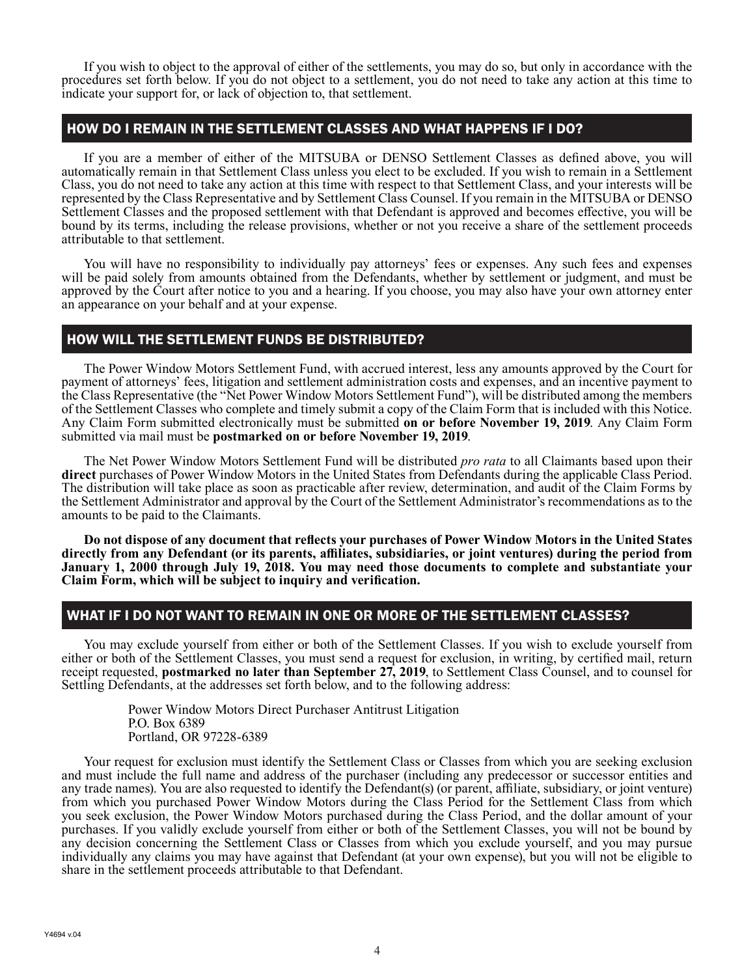If you wish to object to the approval of either of the settlements, you may do so, but only in accordance with the procedures set forth below. If you do not object to a settlement, you do not need to take any action at this time to indicate your support for, or lack of objection to, that settlement.

## HOW DO I REMAIN IN THE SETTLEMENT CLASSES AND WHAT HAPPENS IF I DO?

If you are a member of either of the MITSUBA or DENSO Settlement Classes as defined above, you will automatically remain in that Settlement Class unless you elect to be excluded. If you wish to remain in a Settlement Class, you do not need to take any action at this time with respect to that Settlement Class, and your interests will be represented by the Class Representative and by Settlement Class Counsel. If you remain in the MITSUBA or DENSO Settlement Classes and the proposed settlement with that Defendant is approved and becomes effective, you will be bound by its terms, including the release provisions, whether or not you receive a share of the settlement proceeds attributable to that settlement.

You will have no responsibility to individually pay attorneys' fees or expenses. Any such fees and expenses will be paid solely from amounts obtained from the Defendants, whether by settlement or judgment, and must be approved by the Court after notice to you and a hearing. If you choose, you may also have your own attorney enter an appearance on your behalf and at your expense.

# HOW WILL THE SETTLEMENT FUNDS BE DISTRIBUTED?

The Power Window Motors Settlement Fund, with accrued interest, less any amounts approved by the Court for payment of attorneys' fees, litigation and settlement administration costs and expenses, and an incentive payment to the Class Representative (the "Net Power Window Motors Settlement Fund"), will be distributed among the members of the Settlement Classes who complete and timely submit a copy of the Claim Form that is included with this Notice. Any Claim Form submitted electronically must be submitted **on or before November 19, 2019**. Any Claim Form submitted via mail must be **postmarked on or before November 19, 2019**.

The Net Power Window Motors Settlement Fund will be distributed *pro rata* to all Claimants based upon their **direct** purchases of Power Window Motors in the United States from Defendants during the applicable Class Period. The distribution will take place as soon as practicable after review, determination, and audit of the Claim Forms by the Settlement Administrator and approval by the Court of the Settlement Administrator's recommendations as to the amounts to be paid to the Claimants.

**Do not dispose of any document that reflects your purchases of Power Window Motors in the United States directly from any Defendant (or its parents, affiliates, subsidiaries, or joint ventures) during the period from January 1, 2000 through July 19, 2018. You may need those documents to complete and substantiate your Claim Form, which will be subject to inquiry and verification.**

# WHAT IF I DO NOT WANT TO REMAIN IN ONE OR MORE OF THE SETTLEMENT CLASSES?

You may exclude yourself from either or both of the Settlement Classes. If you wish to exclude yourself from either or both of the Settlement Classes, you must send a request for exclusion, in writing, by certified mail, return receipt requested, **postmarked no later than September 27, 2019**, to Settlement Class Counsel, and to counsel for Settling Defendants, at the addresses set forth below, and to the following address:

> Power Window Motors Direct Purchaser Antitrust Litigation P.O. Box 6389 Portland, OR 97228-6389

Your request for exclusion must identify the Settlement Class or Classes from which you are seeking exclusion and must include the full name and address of the purchaser (including any predecessor or successor entities and any trade names). You are also requested to identify the Defendant(s) (or parent, affiliate, subsidiary, or joint venture) from which you purchased Power Window Motors during the Class Period for the Settlement Class from which you seek exclusion, the Power Window Motors purchased during the Class Period, and the dollar amount of your purchases. If you validly exclude yourself from either or both of the Settlement Classes, you will not be bound by any decision concerning the Settlement Class or Classes from which you exclude yourself, and you may pursue individually any claims you may have against that Defendant (at your own expense), but you will not be eligible to share in the settlement proceeds attributable to that Defendant.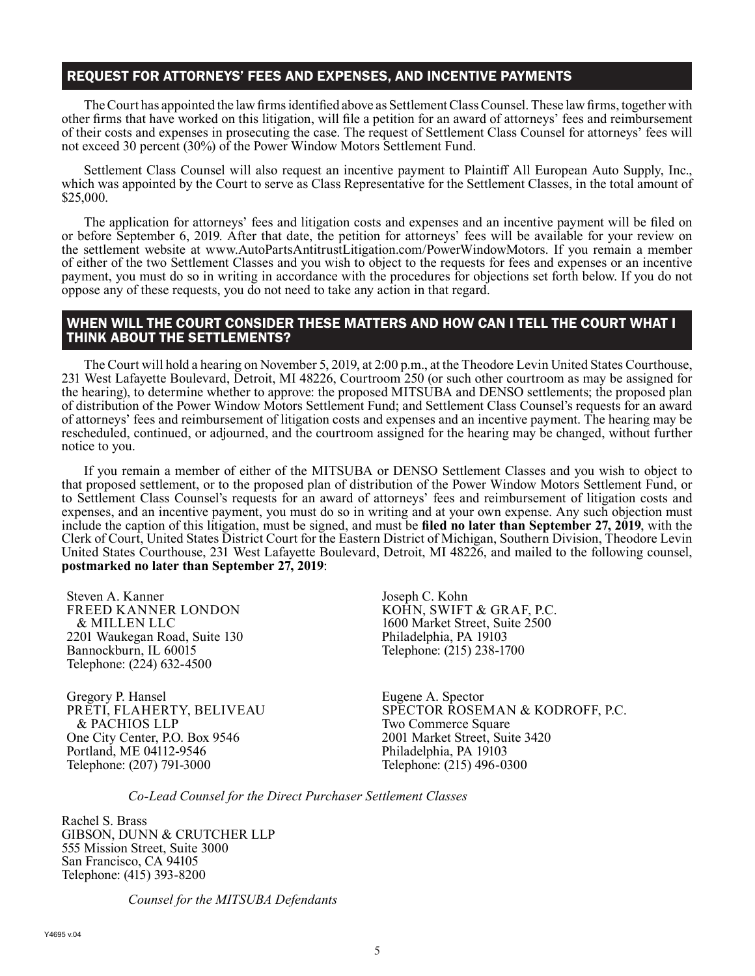## REQUEST FOR ATTORNEYS' FEES AND EXPENSES, AND INCENTIVE PAYMENTS

The Court has appointed the law firms identified above as Settlement Class Counsel. These law firms, together with other firms that have worked on this litigation, will file a petition for an award of attorneys' fees and reimbursement of their costs and expenses in prosecuting the case. The request of Settlement Class Counsel for attorneys' fees will not exceed 30 percent (30%) of the Power Window Motors Settlement Fund.

Settlement Class Counsel will also request an incentive payment to Plaintiff All European Auto Supply, Inc., which was appointed by the Court to serve as Class Representative for the Settlement Classes, in the total amount of \$25,000.

The application for attorneys' fees and litigation costs and expenses and an incentive payment will be filed on or before September 6, 2019. After that date, the petition for attorneys' fees will be available for your review on the settlement website at www.AutoPartsAntitrustLitigation.com/PowerWindowMotors. If you remain a member of either of the two Settlement Classes and you wish to object to the requests for fees and expenses or an incentive payment, you must do so in writing in accordance with the procedures for objections set forth below. If you do not oppose any of these requests, you do not need to take any action in that regard.

### WHEN WILL THE COURT CONSIDER THESE MATTERS AND HOW CAN I TELL THE COURT WHAT I THINK ABOUT THE SETTLEMENTS?

The Court will hold a hearing on November 5, 2019, at 2:00 p.m., at the Theodore Levin United States Courthouse, 231 West Lafayette Boulevard, Detroit, MI 48226, Courtroom 250 (or such other courtroom as may be assigned for the hearing), to determine whether to approve: the proposed MITSUBA and DENSO settlements; the proposed plan of distribution of the Power Window Motors Settlement Fund; and Settlement Class Counsel's requests for an award of attorneys' fees and reimbursement of litigation costs and expenses and an incentive payment. The hearing may be rescheduled, continued, or adjourned, and the courtroom assigned for the hearing may be changed, without further notice to you.

If you remain a member of either of the MITSUBA or DENSO Settlement Classes and you wish to object to that proposed settlement, or to the proposed plan of distribution of the Power Window Motors Settlement Fund, or to Settlement Class Counsel's requests for an award of attorneys' fees and reimbursement of litigation costs and expenses, and an incentive payment, you must do so in writing and at your own expense. Any such objection must include the caption of this litigation, must be signed, and must be **filed no later than September 27, 2019**, with the Clerk of Court, United States District Court for the Eastern District of Michigan, Southern Division, Theodore Levin United States Courthouse, 231 West Lafayette Boulevard, Detroit, MI 48226, and mailed to the following counsel, **postmarked no later than September 27, 2019**:

Steven A. Kanner FREED KANNER LONDON & MILLEN LLC 2201 Waukegan Road, Suite 130 Bannockburn, IL 60015 Telephone: (224) 632-4500

Gregory P. Hansel PRETI, FLAHERTY, BELIVEAU & PACHIOS LLP One City Center, P.O. Box 9546 Portland, ME 04112-9546 Telephone: (207) 791-3000

Joseph C. Kohn KOHN, SWIFT & GRAF, P.C. 1600 Market Street, Suite 2500 Philadelphia, PA 19103 Telephone: (215) 238-1700

Eugene A. Spector SPECTOR ROSEMAN & KODROFF, P.C. Two Commerce Square 2001 Market Street, Suite 3420 Philadelphia, PA 19103 Telephone: (215) 496-0300

*Co-Lead Counsel for the Direct Purchaser Settlement Classes*

Rachel S. Brass GIBSON, DUNN & CRUTCHER LLP 555 Mission Street, Suite 3000 San Francisco, CA 94105 Telephone: (415) 393-8200

*Counsel for the MITSUBA Defendants*